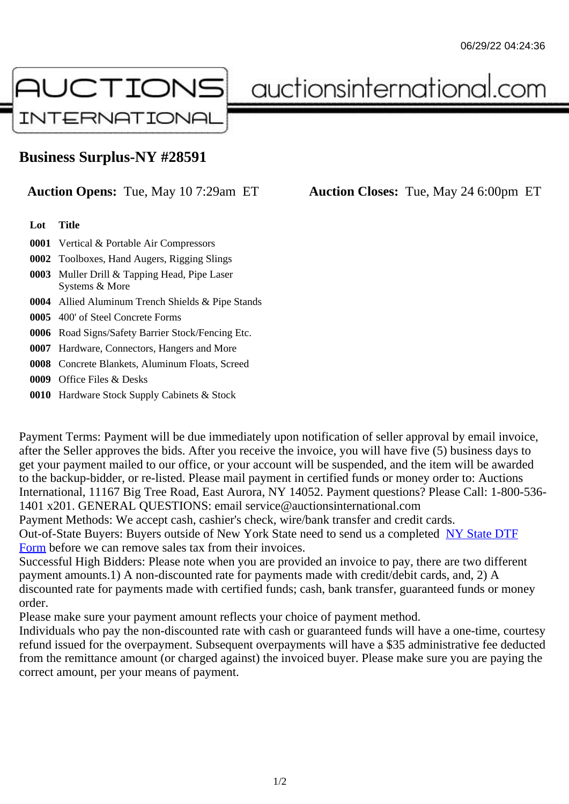## Business Surplus-NY #28591

## Auction Opens: Tue, May 10 7:29am ET Auction Closes: Tue, May 24 6:00pm ET

Lot Title

- 0001 Vertical & Portable Air Compressors
- 0002 Toolboxes, Hand Augers, Rigging Slings
- 0003 Muller Drill & Tapping Head, Pipe Laser Systems & More
- 0004 Allied Aluminum Trench Shields & Pipe Stands
- 0005 400' of Steel Concrete Forms
- 0006 Road Signs/Safety Barrier Stock/Fencing Etc.
- 0007 Hardware, Connectors, Hangers and More
- 0008 Concrete Blankets, Aluminum Floats, Screed
- 0009 Office Files & Desks
- 0010 Hardware Stock Supply Cabinets & Stock

Payment Terms: Payment will be due immediately upon notification of seller approval by email invoice, after the Seller approves the bids. After you receive the invoice, you will have five (5) business days to get your payment mailed to our office, or your account will be suspended, and the item will be awarded to the backup-bidder, or re-listed. Please mail payment in certified funds or money order to: Auctions International, 11167 Big Tree Road, East Aurora, NY 14052. Payment questions? Please Call: 1-800-53 1401 x201. GENERAL QUESTIONS: email service@auctionsinternational.com

Payment Methods: We accept cash, cashier's check, wire/bank transfer and credit cards.

Out-of-State Buyers: Buyers outside of New York State need to send us a com blestate DTF

Form before we can remove sales tax from their invoices.

Successful High Bidders: Please note when you are provided an invoice to pay, there are two different payment amounts.1) A non-discounted rate for payments made with credit/de[bit cards, and](https://www.auctionsinternational.com/auxiliary/downloads/DTF_Form/dtf_fill_in.pdf), 2) A [disco](https://www.auctionsinternational.com/auxiliary/downloads/DTF_Form/dtf_fill_in.pdf)unted rate for payments made with certified funds; cash, bank transfer, guaranteed funds or mone order.

Please make sure your payment amount reflects your choice of payment method.

Individuals who pay the non-discounted rate with cash or guaranteed funds will have a one-time, courte refund issued for the overpayment. Subsequent overpayments will have a \$35 administrative fee deduc from the remittance amount (or charged against) the invoiced buyer. Please make sure you are paying correct amount, per your means of payment.